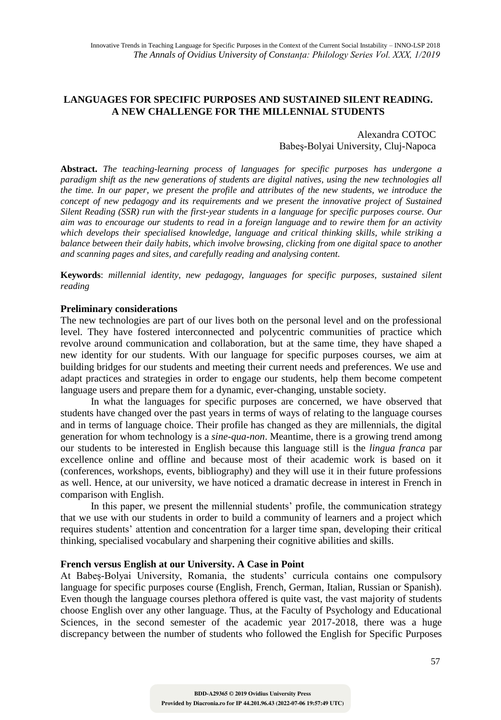# **LANGUAGES FOR SPECIFIC PURPOSES AND SUSTAINED SILENT READING. A NEW CHALLENGE FOR THE MILLENNIAL STUDENTS**

### Alexandra COTOC Babeş-Bolyai University, Cluj-Napoca

**Abstract.** *The teaching-learning process of languages for specific purposes has undergone a paradigm shift as the new generations of students are digital natives, using the new technologies all the time. In our paper, we present the profile and attributes of the new students, we introduce the concept of new pedagogy and its requirements and we present the innovative project of Sustained Silent Reading (SSR) run with the first-year students in a language for specific purposes course. Our aim was to encourage our students to read in a foreign language and to rewire them for an activity which develops their specialised knowledge, language and critical thinking skills, while striking a balance between their daily habits, which involve browsing, clicking from one digital space to another and scanning pages and sites, and carefully reading and analysing content.* 

**Keywords**: *millennial identity, new pedagogy, languages for specific purposes, sustained silent reading*

#### **Preliminary considerations**

The new technologies are part of our lives both on the personal level and on the professional level. They have fostered interconnected and polycentric communities of practice which revolve around communication and collaboration, but at the same time, they have shaped a new identity for our students. With our language for specific purposes courses, we aim at building bridges for our students and meeting their current needs and preferences. We use and adapt practices and strategies in order to engage our students, help them become competent language users and prepare them for a dynamic, ever-changing, unstable society.

In what the languages for specific purposes are concerned, we have observed that students have changed over the past years in terms of ways of relating to the language courses and in terms of language choice. Their profile has changed as they are millennials, the digital generation for whom technology is a *sine-qua-non*. Meantime, there is a growing trend among our students to be interested in English because this language still is the *lingua franca* par excellence online and offline and because most of their academic work is based on it (conferences, workshops, events, bibliography) and they will use it in their future professions as well. Hence, at our university, we have noticed a dramatic decrease in interest in French in comparison with English.

In this paper, we present the millennial students' profile, the communication strategy that we use with our students in order to build a community of learners and a project which requires students' attention and concentration for a larger time span, developing their critical thinking, specialised vocabulary and sharpening their cognitive abilities and skills.

#### **French versus English at our University. A Case in Point**

At Babeș-Bolyai University, Romania, the students' curricula contains one compulsory language for specific purposes course (English, French, German, Italian, Russian or Spanish). Even though the language courses plethora offered is quite vast, the vast majority of students choose English over any other language. Thus, at the Faculty of Psychology and Educational Sciences, in the second semester of the academic year 2017-2018, there was a huge discrepancy between the number of students who followed the English for Specific Purposes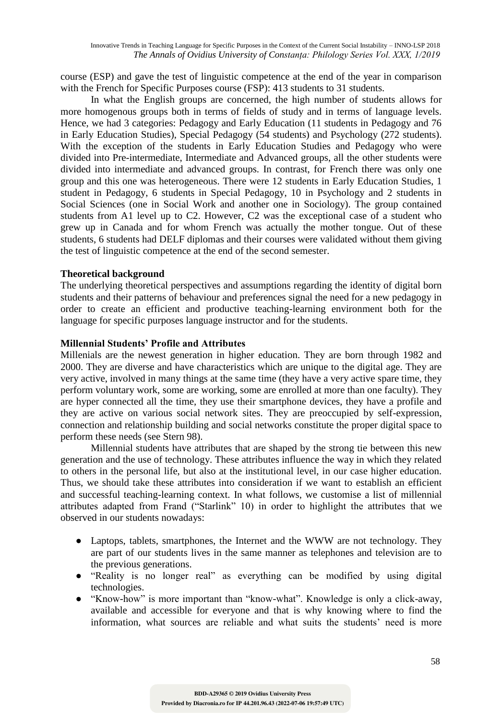course (ESP) and gave the test of linguistic competence at the end of the year in comparison with the French for Specific Purposes course (FSP): 413 students to 31 students.

In what the English groups are concerned, the high number of students allows for more homogenous groups both in terms of fields of study and in terms of language levels. Hence, we had 3 categories: Pedagogy and Early Education (11 students in Pedagogy and 76 in Early Education Studies), Special Pedagogy (54 students) and Psychology (272 students). With the exception of the students in Early Education Studies and Pedagogy who were divided into Pre-intermediate, Intermediate and Advanced groups, all the other students were divided into intermediate and advanced groups. In contrast, for French there was only one group and this one was heterogeneous. There were 12 students in Early Education Studies, 1 student in Pedagogy, 6 students in Special Pedagogy, 10 in Psychology and 2 students in Social Sciences (one in Social Work and another one in Sociology). The group contained students from A1 level up to C2. However, C2 was the exceptional case of a student who grew up in Canada and for whom French was actually the mother tongue. Out of these students, 6 students had DELF diplomas and their courses were validated without them giving the test of linguistic competence at the end of the second semester.

## **Theoretical background**

The underlying theoretical perspectives and assumptions regarding the identity of digital born students and their patterns of behaviour and preferences signal the need for a new pedagogy in order to create an efficient and productive teaching-learning environment both for the language for specific purposes language instructor and for the students.

## **Millennial Students' Profile and Attributes**

Millenials are the newest generation in higher education. They are born through 1982 and 2000. They are diverse and have characteristics which are unique to the digital age. They are very active, involved in many things at the same time (they have a very active spare time, they perform voluntary work, some are working, some are enrolled at more than one faculty). They are hyper connected all the time, they use their smartphone devices, they have a profile and they are active on various social network sites. They are preoccupied by self-expression, connection and relationship building and social networks constitute the proper digital space to perform these needs (see Stern 98).

Millennial students have attributes that are shaped by the strong tie between this new generation and the use of technology. These attributes influence the way in which they related to others in the personal life, but also at the institutional level, in our case higher education. Thus, we should take these attributes into consideration if we want to establish an efficient and successful teaching-learning context. In what follows, we customise a list of millennial attributes adapted from Frand ("Starlink" 10) in order to highlight the attributes that we observed in our students nowadays:

- Laptops, tablets, smartphones, the Internet and the WWW are not technology. They are part of our students lives in the same manner as telephones and television are to the previous generations.
- "Reality is no longer real" as everything can be modified by using digital technologies.
- "Know-how" is more important than "know-what". Knowledge is only a click-away, available and accessible for everyone and that is why knowing where to find the information, what sources are reliable and what suits the students' need is more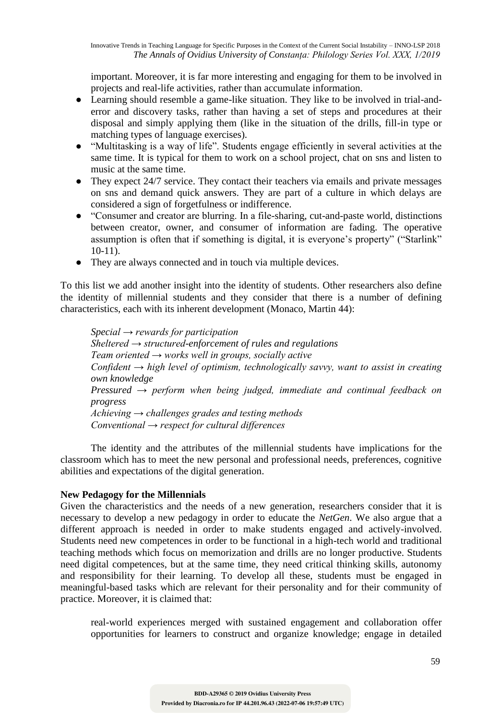important. Moreover, it is far more interesting and engaging for them to be involved in projects and real-life activities, rather than accumulate information.

- Learning should resemble a game-like situation. They like to be involved in trial-anderror and discovery tasks, rather than having a set of steps and procedures at their disposal and simply applying them (like in the situation of the drills, fill-in type or matching types of language exercises).
- "Multitasking is a way of life". Students engage efficiently in several activities at the same time. It is typical for them to work on a school project, chat on sns and listen to music at the same time.
- They expect 24/7 service. They contact their teachers via emails and private messages on sns and demand quick answers. They are part of a culture in which delays are considered a sign of forgetfulness or indifference.
- "Consumer and creator are blurring. In a file-sharing, cut-and-paste world, distinctions between creator, owner, and consumer of information are fading. The operative assumption is often that if something is digital, it is everyone's property" ("Starlink" 10-11).
- They are always connected and in touch via multiple devices.

To this list we add another insight into the identity of students. Other researchers also define the identity of millennial students and they consider that there is a number of defining characteristics, each with its inherent development (Monaco, Martin 44):

*Special → rewards for participation Sheltered → structured-enforcement of rules and regulations Team oriented → works well in groups, socially active Confident → high level of optimism, technologically savvy, want to assist in creating own knowledge Pressured → perform when being judged, immediate and continual feedback on progress Achieving → challenges grades and testing methods Conventional → respect for cultural differences*

The identity and the attributes of the millennial students have implications for the classroom which has to meet the new personal and professional needs, preferences, cognitive abilities and expectations of the digital generation.

# **New Pedagogy for the Millennials**

Given the characteristics and the needs of a new generation, researchers consider that it is necessary to develop a new pedagogy in order to educate the *NetGen*. We also argue that a different approach is needed in order to make students engaged and actively-involved. Students need new competences in order to be functional in a high-tech world and traditional teaching methods which focus on memorization and drills are no longer productive. Students need digital competences, but at the same time, they need critical thinking skills, autonomy and responsibility for their learning. To develop all these, students must be engaged in meaningful-based tasks which are relevant for their personality and for their community of practice. Moreover, it is claimed that:

real-world experiences merged with sustained engagement and collaboration offer opportunities for learners to construct and organize knowledge; engage in detailed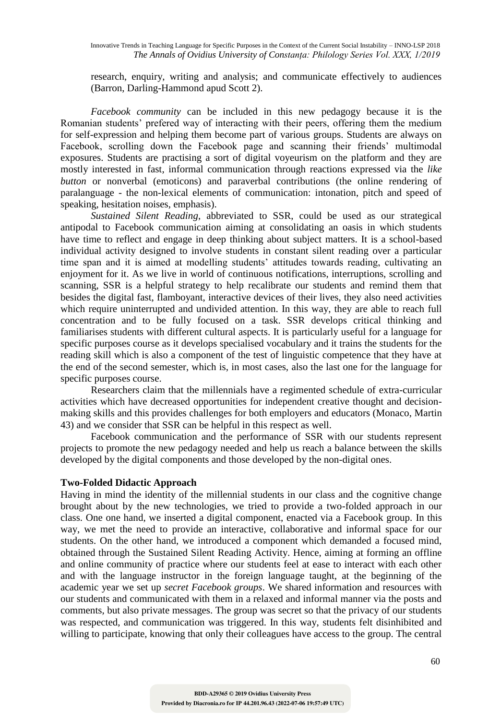research, enquiry, writing and analysis; and communicate effectively to audiences (Barron, Darling-Hammond apud Scott 2).

*Facebook community* can be included in this new pedagogy because it is the Romanian students' prefered way of interacting with their peers, offering them the medium for self-expression and helping them become part of various groups. Students are always on Facebook, scrolling down the Facebook page and scanning their friends' multimodal exposures. Students are practising a sort of digital voyeurism on the platform and they are mostly interested in fast, informal communication through reactions expressed via the *like button* or nonverbal (emoticons) and paraverbal contributions (the online rendering of paralanguage - the non-lexical elements of communication: intonation, pitch and speed of speaking, hesitation noises, emphasis).

*Sustained Silent Reading*, abbreviated to SSR, could be used as our strategical antipodal to Facebook communication aiming at consolidating an oasis in which students have time to reflect and engage in deep thinking about subject matters. It is a school-based individual activity designed to involve students in constant silent reading over a particular time span and it is aimed at modelling students' attitudes towards reading, cultivating an enjoyment for it. As we live in world of continuous notifications, interruptions, scrolling and scanning, SSR is a helpful strategy to help recalibrate our students and remind them that besides the digital fast, flamboyant, interactive devices of their lives, they also need activities which require uninterrupted and undivided attention. In this way, they are able to reach full concentration and to be fully focused on a task. SSR develops critical thinking and familiarises students with different cultural aspects. It is particularly useful for a language for specific purposes course as it develops specialised vocabulary and it trains the students for the reading skill which is also a component of the test of linguistic competence that they have at the end of the second semester, which is, in most cases, also the last one for the language for specific purposes course.

Researchers claim that the millennials have a regimented schedule of extra-curricular activities which have decreased opportunities for independent creative thought and decisionmaking skills and this provides challenges for both employers and educators (Monaco, Martin 43) and we consider that SSR can be helpful in this respect as well.

Facebook communication and the performance of SSR with our students represent projects to promote the new pedagogy needed and help us reach a balance between the skills developed by the digital components and those developed by the non-digital ones.

#### **Two-Folded Didactic Approach**

Having in mind the identity of the millennial students in our class and the cognitive change brought about by the new technologies, we tried to provide a two-folded approach in our class. One one hand, we inserted a digital component, enacted via a Facebook group. In this way, we met the need to provide an interactive, collaborative and informal space for our students. On the other hand, we introduced a component which demanded a focused mind, obtained through the Sustained Silent Reading Activity. Hence, aiming at forming an offline and online community of practice where our students feel at ease to interact with each other and with the language instructor in the foreign language taught, at the beginning of the academic year we set up *secret Facebook groups*. We shared information and resources with our students and communicated with them in a relaxed and informal manner via the posts and comments, but also private messages. The group was secret so that the privacy of our students was respected, and communication was triggered. In this way, students felt disinhibited and willing to participate, knowing that only their colleagues have access to the group. The central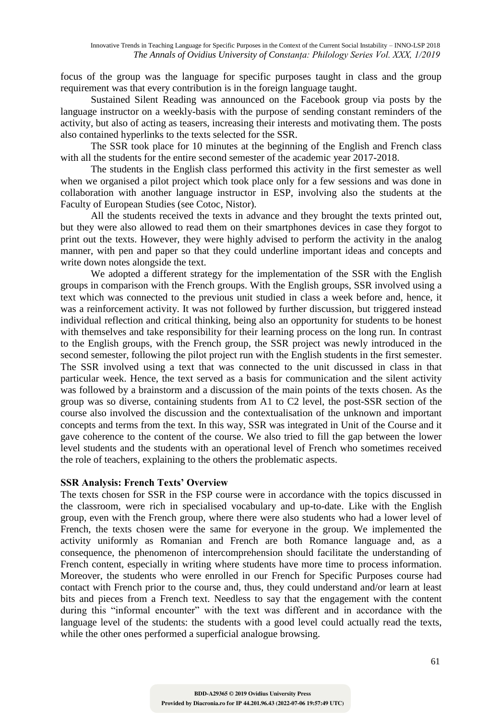focus of the group was the language for specific purposes taught in class and the group requirement was that every contribution is in the foreign language taught.

Sustained Silent Reading was announced on the Facebook group via posts by the language instructor on a weekly-basis with the purpose of sending constant reminders of the activity, but also of acting as teasers, increasing their interests and motivating them. The posts also contained hyperlinks to the texts selected for the SSR.

The SSR took place for 10 minutes at the beginning of the English and French class with all the students for the entire second semester of the academic year 2017-2018.

The students in the English class performed this activity in the first semester as well when we organised a pilot project which took place only for a few sessions and was done in collaboration with another language instructor in ESP, involving also the students at the Faculty of European Studies (see Cotoc, Nistor).

All the students received the texts in advance and they brought the texts printed out, but they were also allowed to read them on their smartphones devices in case they forgot to print out the texts. However, they were highly advised to perform the activity in the analog manner, with pen and paper so that they could underline important ideas and concepts and write down notes alongside the text.

We adopted a different strategy for the implementation of the SSR with the English groups in comparison with the French groups. With the English groups, SSR involved using a text which was connected to the previous unit studied in class a week before and, hence, it was a reinforcement activity. It was not followed by further discussion, but triggered instead individual reflection and critical thinking, being also an opportunity for students to be honest with themselves and take responsibility for their learning process on the long run. In contrast to the English groups, with the French group, the SSR project was newly introduced in the second semester, following the pilot project run with the English students in the first semester. The SSR involved using a text that was connected to the unit discussed in class in that particular week. Hence, the text served as a basis for communication and the silent activity was followed by a brainstorm and a discussion of the main points of the texts chosen. As the group was so diverse, containing students from A1 to C2 level, the post-SSR section of the course also involved the discussion and the contextualisation of the unknown and important concepts and terms from the text. In this way, SSR was integrated in Unit of the Course and it gave coherence to the content of the course. We also tried to fill the gap between the lower level students and the students with an operational level of French who sometimes received the role of teachers, explaining to the others the problematic aspects.

# **SSR Analysis: French Texts' Overview**

The texts chosen for SSR in the FSP course were in accordance with the topics discussed in the classroom, were rich in specialised vocabulary and up-to-date. Like with the English group, even with the French group, where there were also students who had a lower level of French, the texts chosen were the same for everyone in the group. We implemented the activity uniformly as Romanian and French are both Romance language and, as a consequence, the phenomenon of intercomprehension should facilitate the understanding of French content, especially in writing where students have more time to process information. Moreover, the students who were enrolled in our French for Specific Purposes course had contact with French prior to the course and, thus, they could understand and/or learn at least bits and pieces from a French text. Needless to say that the engagement with the content during this "informal encounter" with the text was different and in accordance with the language level of the students: the students with a good level could actually read the texts, while the other ones performed a superficial analogue browsing.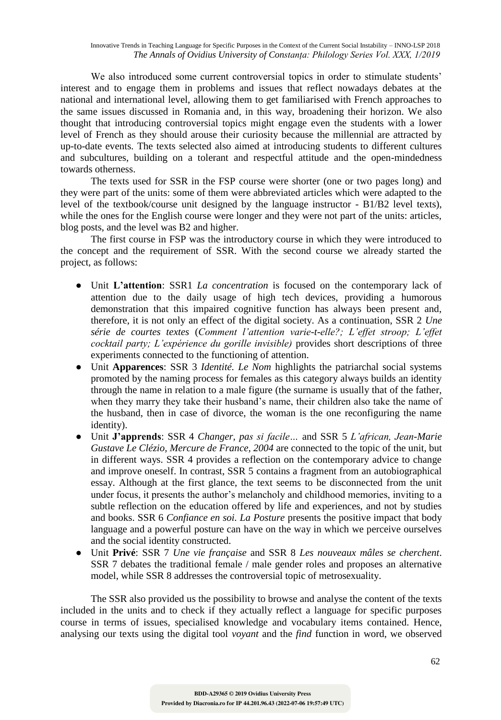Innovative Trends in Teaching Language for Specific Purposes in the Context of the Current Social Instability – INNO-LSP 2018 *The Annals of Ovidius University of Constanța: Philology Series Vol. XXX, 1/2019*

We also introduced some current controversial topics in order to stimulate students' interest and to engage them in problems and issues that reflect nowadays debates at the national and international level, allowing them to get familiarised with French approaches to the same issues discussed in Romania and, in this way, broadening their horizon. We also thought that introducing controversial topics might engage even the students with a lower level of French as they should arouse their curiosity because the millennial are attracted by up-to-date events. The texts selected also aimed at introducing students to different cultures and subcultures, building on a tolerant and respectful attitude and the open-mindedness towards otherness.

The texts used for SSR in the FSP course were shorter (one or two pages long) and they were part of the units: some of them were abbreviated articles which were adapted to the level of the textbook/course unit designed by the language instructor - B1/B2 level texts), while the ones for the English course were longer and they were not part of the units: articles, blog posts, and the level was B2 and higher.

The first course in FSP was the introductory course in which they were introduced to the concept and the requirement of SSR. With the second course we already started the project, as follows:

- Unit **L'attention**: SSR1 *La concentration* is focused on the contemporary lack of attention due to the daily usage of high tech devices, providing a humorous demonstration that this impaired cognitive function has always been present and, therefore, it is not only an effect of the digital society. As a continuation, SSR 2 *Une série de courtes textes* (*Comment l'attention varie-t-elle?; L'effet stroop; L'effet cocktail party; L'expérience du gorille invisible)* provides short descriptions of three experiments connected to the functioning of attention.
- Unit **Apparences**: SSR 3 *Identité. Le Nom* highlights the patriarchal social systems promoted by the naming process for females as this category always builds an identity through the name in relation to a male figure (the surname is usually that of the father, when they marry they take their husband's name, their children also take the name of the husband, then in case of divorce, the woman is the one reconfiguring the name identity).
- Unit **J'apprends**: SSR 4 *Changer, pas si facile…* and SSR 5 *L'african, Jean-Marie Gustave Le Clézio, Mercure de France, 2004* are connected to the topic of the unit, but in different ways. SSR 4 provides a reflection on the contemporary advice to change and improve oneself. In contrast, SSR 5 contains a fragment from an autobiographical essay. Although at the first glance, the text seems to be disconnected from the unit under focus, it presents the author's melancholy and childhood memories, inviting to a subtle reflection on the education offered by life and experiences, and not by studies and books. SSR 6 *Confiance en soi. La Posture* presents the positive impact that body language and a powerful posture can have on the way in which we perceive ourselves and the social identity constructed.
- Unit **Privé**: SSR 7 *Une vie française* and SSR 8 *Les nouveaux mâles se cherchent*. SSR 7 debates the traditional female / male gender roles and proposes an alternative model, while SSR 8 addresses the controversial topic of metrosexuality.

The SSR also provided us the possibility to browse and analyse the content of the texts included in the units and to check if they actually reflect a language for specific purposes course in terms of issues, specialised knowledge and vocabulary items contained. Hence, analysing our texts using the digital tool *voyant* and the *find* function in word, we observed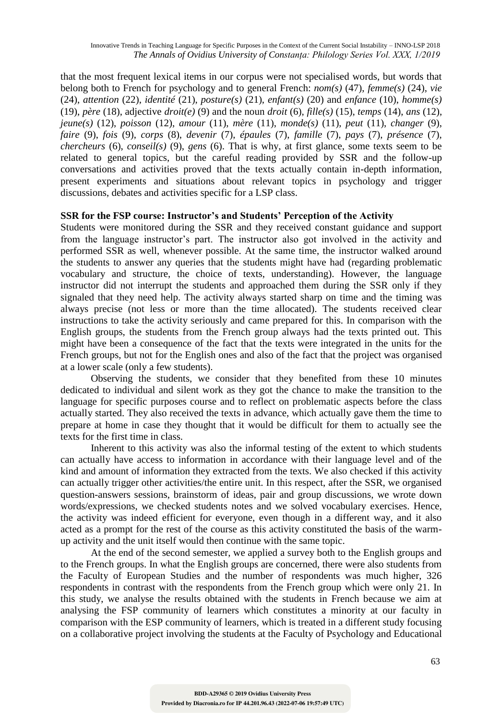that the most frequent lexical items in our corpus were not specialised words, but words that belong both to French for psychology and to general French: *nom(s)* (47), *femme(s)* (24), *vie*  (24), *attention* (22), *identité* (21), *posture(s)* (21), *enfant(s)* (20) and *enfance* (10), *homme(s)*  (19), *père* (18), adjective *droit(e)* (9) and the noun *droit* (6), *fille(s)* (15), *temps* (14), *ans* (12), *jeune(s)* (12), *poisson* (12), *amour* (11), *mère* (11), *monde(s)* (11), *peut* (11), *changer* (9), *faire* (9), *fois* (9), *corps* (8), *devenir* (7), *épaules* (7), *famille* (7), *pays* (7), *présence* (7), *chercheurs* (6), *conseil(s)* (9), *gens* (6). That is why, at first glance, some texts seem to be related to general topics, but the careful reading provided by SSR and the follow-up conversations and activities proved that the texts actually contain in-depth information, present experiments and situations about relevant topics in psychology and trigger discussions, debates and activities specific for a LSP class.

## **SSR for the FSP course: Instructor's and Students' Perception of the Activity**

Students were monitored during the SSR and they received constant guidance and support from the language instructor's part. The instructor also got involved in the activity and performed SSR as well, whenever possible. At the same time, the instructor walked around the students to answer any queries that the students might have had (regarding problematic vocabulary and structure, the choice of texts, understanding). However, the language instructor did not interrupt the students and approached them during the SSR only if they signaled that they need help. The activity always started sharp on time and the timing was always precise (not less or more than the time allocated). The students received clear instructions to take the activity seriously and came prepared for this. In comparison with the English groups, the students from the French group always had the texts printed out. This might have been a consequence of the fact that the texts were integrated in the units for the French groups, but not for the English ones and also of the fact that the project was organised at a lower scale (only a few students).

Observing the students, we consider that they benefited from these 10 minutes dedicated to individual and silent work as they got the chance to make the transition to the language for specific purposes course and to reflect on problematic aspects before the class actually started. They also received the texts in advance, which actually gave them the time to prepare at home in case they thought that it would be difficult for them to actually see the texts for the first time in class.

Inherent to this activity was also the informal testing of the extent to which students can actually have access to information in accordance with their language level and of the kind and amount of information they extracted from the texts. We also checked if this activity can actually trigger other activities/the entire unit. In this respect, after the SSR, we organised question-answers sessions, brainstorm of ideas, pair and group discussions, we wrote down words/expressions, we checked students notes and we solved vocabulary exercises. Hence, the activity was indeed efficient for everyone, even though in a different way, and it also acted as a prompt for the rest of the course as this activity constituted the basis of the warmup activity and the unit itself would then continue with the same topic.

At the end of the second semester, we applied a survey both to the English groups and to the French groups. In what the English groups are concerned, there were also students from the Faculty of European Studies and the number of respondents was much higher, 326 respondents in contrast with the respondents from the French group which were only 21. In this study, we analyse the results obtained with the students in French because we aim at analysing the FSP community of learners which constitutes a minority at our faculty in comparison with the ESP community of learners, which is treated in a different study focusing on a collaborative project involving the students at the Faculty of Psychology and Educational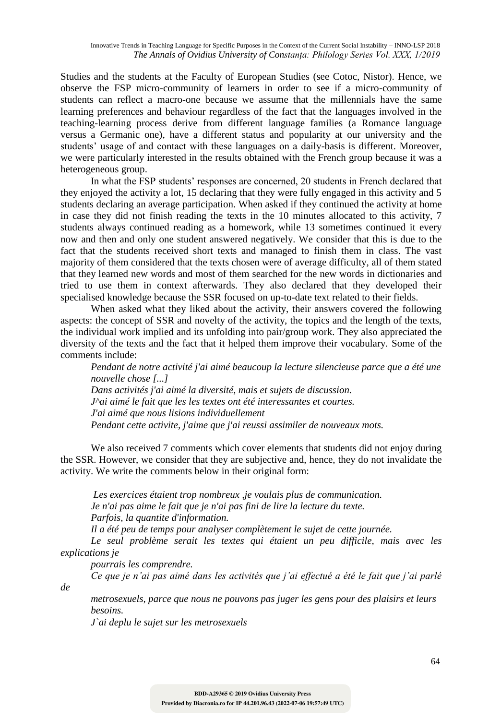Studies and the students at the Faculty of European Studies (see Cotoc, Nistor). Hence, we observe the FSP micro-community of learners in order to see if a micro-community of students can reflect a macro-one because we assume that the millennials have the same learning preferences and behaviour regardless of the fact that the languages involved in the teaching-learning process derive from different language families (a Romance language versus a Germanic one), have a different status and popularity at our university and the students' usage of and contact with these languages on a daily-basis is different. Moreover, we were particularly interested in the results obtained with the French group because it was a heterogeneous group.

In what the FSP students' responses are concerned, 20 students in French declared that they enjoyed the activity a lot, 15 declaring that they were fully engaged in this activity and 5 students declaring an average participation. When asked if they continued the activity at home in case they did not finish reading the texts in the 10 minutes allocated to this activity, 7 students always continued reading as a homework, while 13 sometimes continued it every now and then and only one student answered negatively. We consider that this is due to the fact that the students received short texts and managed to finish them in class. The vast majority of them considered that the texts chosen were of average difficulty, all of them stated that they learned new words and most of them searched for the new words in dictionaries and tried to use them in context afterwards. They also declared that they developed their specialised knowledge because the SSR focused on up-to-date text related to their fields.

When asked what they liked about the activity, their answers covered the following aspects: the concept of SSR and novelty of the activity, the topics and the length of the texts, the individual work implied and its unfolding into pair/group work. They also appreciated the diversity of the texts and the fact that it helped them improve their vocabulary. Some of the comments include:

*Pendant de notre activité j'ai aimé beaucoup la lecture silencieuse parce que a été une nouvelle chose [...] Dans activités j'ai aimé la diversité, mais et sujets de discussion. J^ai aimé le fait que les les textes ont été interessantes et courtes. J'ai aimé que nous lisions individuellement Pendant cette activite, j'aime que j'ai reussi assimiler de nouveaux mots.*

We also received 7 comments which cover elements that students did not enjoy during the SSR. However, we consider that they are subjective and, hence, they do not invalidate the activity. We write the comments below in their original form:

*Les exercices étaient trop nombreux ,je voulais plus de communication. Je n'ai pas aime le fait que je n'ai pas fini de lire la lecture du texte. Parfois, la quantite d'information.*

*Il a été peu de temps pour analyser complètement le sujet de cette journée.*

*Le seul problème serait les textes qui étaient un peu difficile, mais avec les explications je* 

*pourrais les comprendre.*

*de* 

*Ce que je n'ai pas aimé dans les activités que j'ai effectué a été le fait que j'ai parlé* 

*metrosexuels, parce que nous ne pouvons pas juger les gens pour des plaisirs et leurs besoins.*

*J`ai deplu le sujet sur les metrosexuels*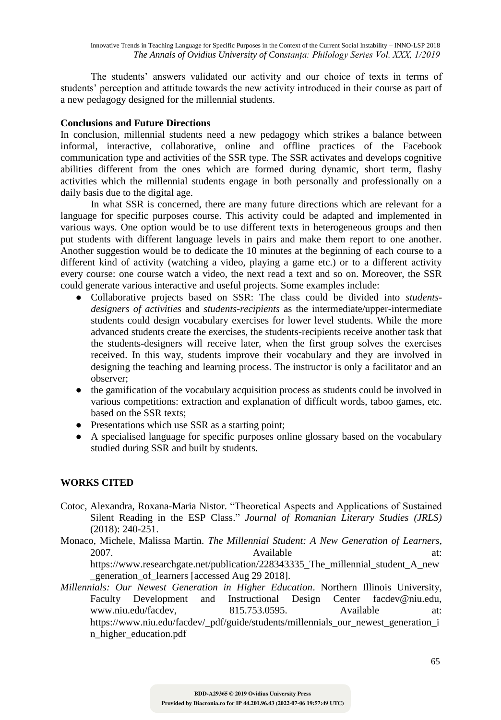The students' answers validated our activity and our choice of texts in terms of students' perception and attitude towards the new activity introduced in their course as part of a new pedagogy designed for the millennial students.

# **Conclusions and Future Directions**

In conclusion, millennial students need a new pedagogy which strikes a balance between informal, interactive, collaborative, online and offline practices of the Facebook communication type and activities of the SSR type. The SSR activates and develops cognitive abilities different from the ones which are formed during dynamic, short term, flashy activities which the millennial students engage in both personally and professionally on a daily basis due to the digital age.

In what SSR is concerned, there are many future directions which are relevant for a language for specific purposes course. This activity could be adapted and implemented in various ways. One option would be to use different texts in heterogeneous groups and then put students with different language levels in pairs and make them report to one another. Another suggestion would be to dedicate the 10 minutes at the beginning of each course to a different kind of activity (watching a video, playing a game etc.) or to a different activity every course: one course watch a video, the next read a text and so on. Moreover, the SSR could generate various interactive and useful projects. Some examples include:

- Collaborative projects based on SSR: The class could be divided into *studentsdesigners of activities* and *students-recipients* as the intermediate/upper-intermediate students could design vocabulary exercises for lower level students. While the more advanced students create the exercises, the students-recipients receive another task that the students-designers will receive later, when the first group solves the exercises received. In this way, students improve their vocabulary and they are involved in designing the teaching and learning process. The instructor is only a facilitator and an observer;
- the gamification of the vocabulary acquisition process as students could be involved in various competitions: extraction and explanation of difficult words, taboo games, etc. based on the SSR texts;
- Presentations which use SSR as a starting point;
- A specialised language for specific purposes online glossary based on the vocabulary studied during SSR and built by students.

# **WORKS CITED**

- Cotoc, Alexandra, Roxana-Maria Nistor. "Theoretical Aspects and Applications of Sustained Silent Reading in the ESP Class." *Journal of Romanian Literary Studies (JRLS)* (2018): 240-251.
- Monaco, Michele, Malissa Martin. *The Millennial Student: A New Generation of Learners*, 2007. **Available** at: https://www.researchgate.net/publication/228343335\_The\_millennial\_student\_A\_new \_generation\_of\_learners [accessed Aug 29 2018].
- *Millennials: Our Newest Generation in Higher Education*. Northern Illinois University, Faculty Development and Instructional Design Center facdev@niu.edu, www.niu.edu/facdev, 815.753.0595. Available at: https://www.niu.edu/facdev/\_pdf/guide/students/millennials\_our\_newest\_generation\_i n\_higher\_education.pdf